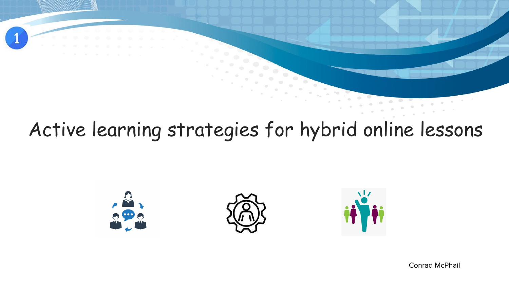# Active learning strategies for hybrid online lessons







Conrad McPhail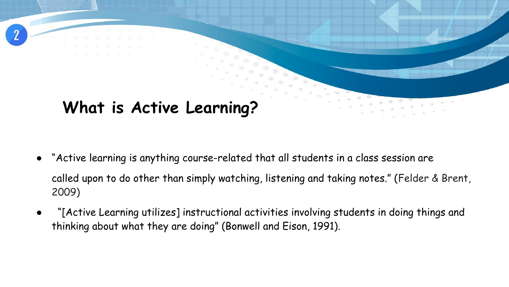## **What is Active Learning?**

"Active learning is anything course-related that all students in a class session are called upon to do other than simply watching, listening and taking notes." (Felder & Brent, 2009)

 $\bullet$ 

"[Active Learning utilizes] instructional activities involving students in doing things and thinking about what they are doing" (Bonwell and Eison, 1991).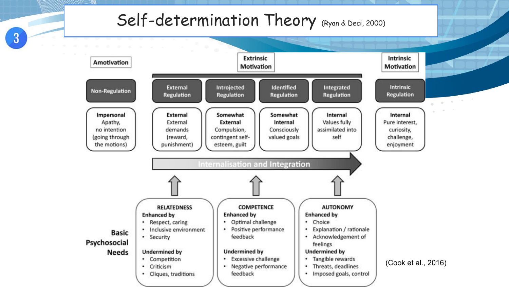### Self-determination Theory (Ryan & Deci, 2000)

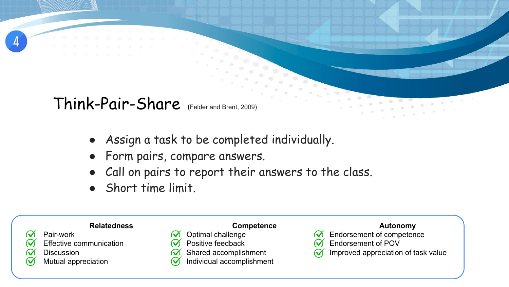

### Think-Pair-Share (Felder and Brent, 2009)

- Assign a task to be completed individually.
- Form pairs, compare answers.

 $\infty$ 

● Call on pairs to report their answers to the class.

● Short time limit.

#### **Relatedness**

- Pair-work
- $\bm{\mathcal{U}}$ Effective communication
- $\bm{\varpi}$ **Discussion**
- $\bm{\mathcal{Q}}$ Mutual appreciation

| <b>Competence</b> |
|-------------------|
| Optimal challenge |

- Positive feedback
- Shared accomplishment  $\mathcal{Q}$ 
	- Individual accomplishment

- Endorsement of competence
- Endorsement of POV  $\mathcal U$
- Improved appreciation of task value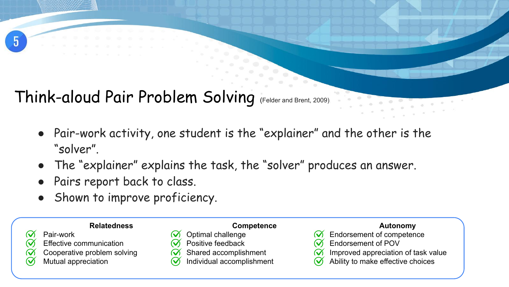### Think-aloud Pair Problem Solving (Felder and Brent, 2009)

 $\infty$ 

- Pair-work activity, one student is the "explainer" and the other is the "solver".
- The "explainer" explains the task, the "solver" produces an answer.
- Pairs report back to class.
- Shown to improve proficiency.

#### **Relatedness**

- Pair-work
- $\mathcal Q$ Effective communication
- Cooperative problem solving  $\mathcal Q$
- $\bm{\mathcal{C}}$ Mutual appreciation

| <b>Competence</b> |
|-------------------|
| Optimal challenge |
| Dooitiva foodhook |

- ositive feedback
- Shared accomplishment  $\mathcal{A}$ 
	- Individual accomplishment

- Endorsement of competence
- Endorsement of POV
- Improved appreciation of task value  $\mathcal{U}$
- Ability to make effective choices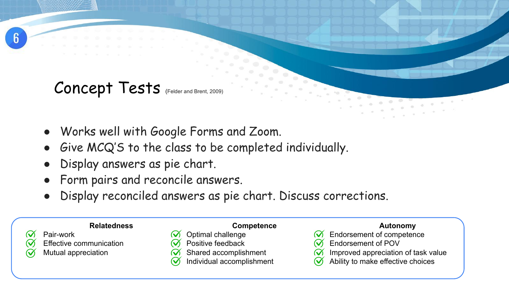

### Concept Tests (Felder and Brent, 2009)

- Works well with Google Forms and Zoom.
- Give MCQ'S to the class to be completed individually.
- Display answers as pie chart.
- Form pairs and reconcile answers.
- Display reconciled answers as pie chart. Discuss corrections.

### **Relatedness**



- Effective communication
- Mutual appreciation

|   | <b>Competence</b>                           |
|---|---------------------------------------------|
|   | $\widetilde{\mathbf{v}}$ Optimal challenge  |
|   | $\widetilde{\mathcal{N}}$ Positive feedback |
| ~ |                                             |

- $\mathcal{U}$ Shared accomplishment
	- Individual accomplishment

- Endorsement of competence
- Endorsement of POV
- Improved appreciation of task value
- Ability to make effective choices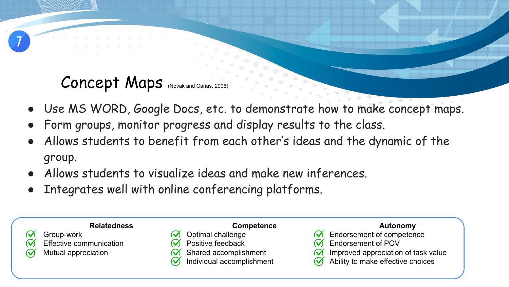### Concept Maps (Novak and Cañas, 2006)

- Use MS WORD, Google Docs, etc. to demonstrate how to make concept maps.
- Form groups, monitor progress and display results to the class.
- Allows students to benefit from each other's ideas and the dynamic of the group.
- Allows students to visualize ideas and make new inferences.
- Integrates well with online conferencing platforms.

### **Relatedness**



- Group-work Effective communication
- Mutual appreciation
- **Competence** Optimal challenge Positive feedback
- Shared accomplishment  $\mathcal{C}$ 
	- Individual accomplishment

- Endorsement of competence
- Endorsement of POV
- Improved appreciation of task value
- Ability to make effective choices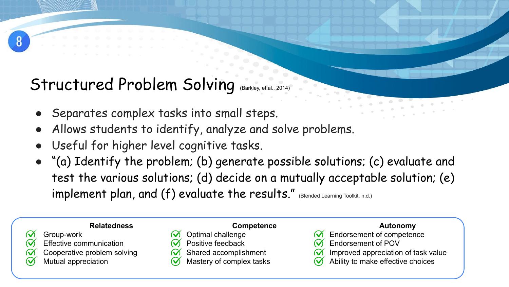### Structured Problem Solving (Barkley, et.al., 2014)

- Separates complex tasks into small steps.
- Allows students to identify, analyze and solve problems.
- Useful for higher level cognitive tasks.
- "(a) Identify the problem; (b) generate possible solutions; (c) evaluate and test the various solutions; (d) decide on a mutually acceptable solution; (e) implement plan, and (f) evaluate the results." (Blended Learning Toolkit, n.d.)

#### **Relatedness**

- Group-work
- $\mathcal Q$ Effective communication
- Cooperative problem solving  $\bm{\mathcal{Q}}$ 
	- Mutual appreciation

|  | <b>Competence</b> |
|--|-------------------|
|  |                   |

- Optimal challenge
- Positive feedback
- Shared accomplishment
- Mastery of complex tasks

- Endorsement of competence
- Endorsement of POV
- Improved appreciation of task value
- Ability to make effective choices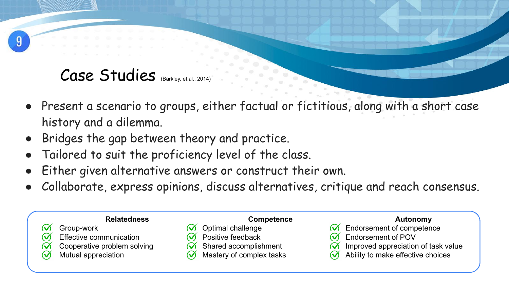### Case Studies (Barkley, et.al., 2014)

- Present a scenario to groups, either factual or fictitious, along with a short case history and a dilemma.
- Bridges the gap between theory and practice.
- Tailored to suit the proficiency level of the class.
- Either given alternative answers or construct their own.
- Collaborate, express opinions, discuss alternatives, critique and reach consensus.

| <b>Relatedness</b>             | <b>Competence</b>        | Autonomy                                             |
|--------------------------------|--------------------------|------------------------------------------------------|
| Group-work                     | Optimal challenge        | <b>Endorsement of competence</b>                     |
| <b>Effective communication</b> | Positive feedback        | <b>Endorsement of POV</b>                            |
| Cooperative problem solving    | Shared accomplishment    | Improved appreciation of task value<br>$\bm{\alpha}$ |
| <b>Mutual appreciation</b>     | Mastery of complex tasks | Ability to make effective choices                    |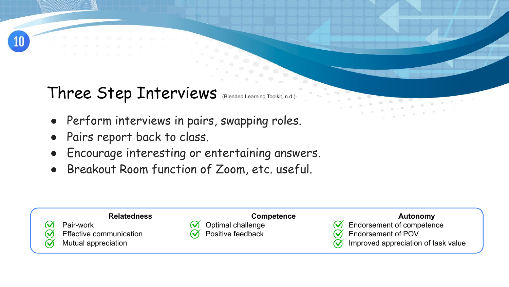

### Three Step Interviews (Blended Learning Toolkit, n.d.)

- Perform interviews in pairs, swapping roles.
- Pairs report back to class.
- Encourage interesting or entertaining answers.
- Breakout Room function of Zoom, etc. useful.

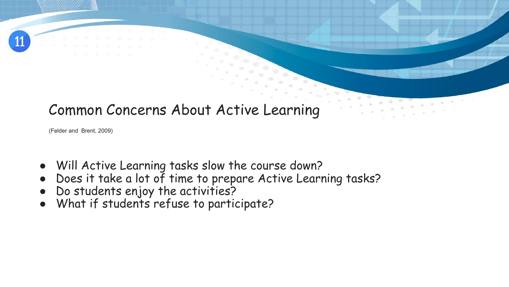

### Common Concerns About Active Learning

(Felder and Brent, 2009)

- Will Active Learning tasks slow the course down?
- Does it take a lot of time to prepare Active Learning tasks?
- Do students enjoy the activities?
- What if students refuse to participate?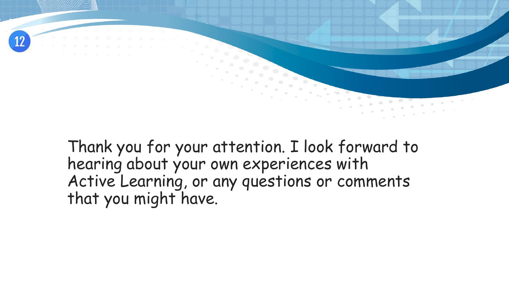

Thank you for your attention. I look forward to hearing about your own experiences with Active Learning, or any questions or comments that you might have.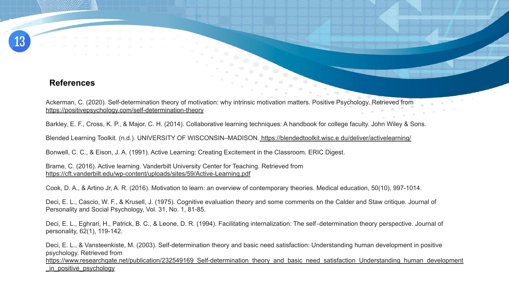#### **References**

Ackerman, C. (2020). Self-determination theory of motivation: why intrinsic motivation matters. Positive Psychology. Retrieved from [https://positivepsychology.com/self-determination-theory](https://positivepsychology.com/self-determination-theory/)

Barkley, E. F., Cross, K. P., & Major, C. H. (2014). Collaborative learning techniques: A handbook for college faculty. John Wiley & Sons.

Blended Learning Toolkit. (n.d.). UNIVERSITY OF WISCONSIN–MADISON. https://blendedtoolkit.wisc.e du/deliver/activelearning/

Bonwell, C. C., & Eison, J. A. (1991). Active Learning: Creating Excitement in the Classroom. ERIC Digest.

Brame, C. (2016). Active learning. Vanderbilt University Center for Teaching. Retrieved from <https://cft.vanderbilt.edu/wp-content/uploads/sites/59/Active-Learning.pdf>

Cook, D. A., & Artino Jr, A. R. (2016). Motivation to learn: an overview of contemporary theories. Medical education, 50(10), 997-1014.

Deci, E. L., Cascio, W. F., & Krusell, J. (1975). Cognitive evaluation theory and some comments on the Calder and Staw critique. Journal of Personality and Social Psychology, Vol. 31, No. 1, 81-85.

Deci, E. L., Eghrari, H., Patrick, B. C., & Leone, D. R. (1994). Facilitating internalization: The self-determination theory perspective. Journal of personality, 62(1), 119-142.

Deci, E. L., & Vansteenkiste, M. (2003). Self-determination theory and basic need satisfaction: Understanding human development in positive psychology. Retrieved from

https://www.researchgate.net/publication/232549169 Self-determination theory and basic need satisfaction Understanding human development [\\_in\\_positive\\_psychology](https://www.researchgate.net/publication/232549169_Self-determination_theory_and_basic_need_satisfaction_Understanding_human_development_in_positive_psychology)